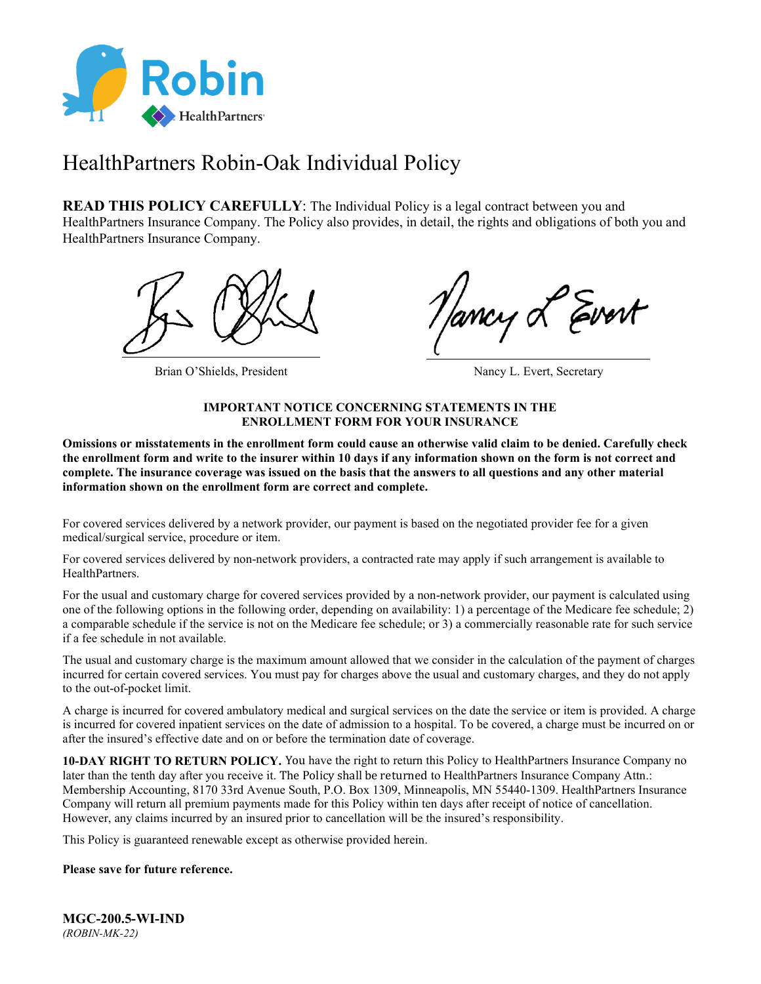

# HealthPartners Robin-Oak Individual Policy

**READ THIS POLICY CAREFULLY:** The Individual Policy is a legal contract between you and HealthPartners Insurance Company. The Policy also provides, in detail, the rights and obligations of both you and HealthPartners Insurance Company.



Brian O'Shields, President Nancy L. Evert, Secretary

### **IMPORTANT NOTICE CONCERNING STATEMENTS IN THE ENROLLMENT FORM FOR YOUR INSURANCE**

**Omissions or misstatements in the enrollment form could cause an otherwise valid claim to be denied. Carefully check the enrollment form and write to the insurer within 10 days if any information shown on the form is not correct and complete. The insurance coverage was issued on the basis that the answers to all questions and any other material information shown on the enrollment form are correct and complete.**

For covered services delivered by a network provider, our payment is based on the negotiated provider fee for a given medical/surgical service, procedure or item.

For covered services delivered by non-network providers, a contracted rate may apply if such arrangement is available to HealthPartners.

For the usual and customary charge for covered services provided by a non-network provider, our payment is calculated using one of the following options in the following order, depending on availability: 1) a percentage of the Medicare fee schedule; 2) a comparable schedule if the service is not on the Medicare fee schedule; or 3) a commercially reasonable rate for such service if a fee schedule in not available.

The usual and customary charge is the maximum amount allowed that we consider in the calculation of the payment of charges incurred for certain covered services. You must pay for charges above the usual and customary charges, and they do not apply to the out-of-pocket limit.

A charge is incurred for covered ambulatory medical and surgical services on the date the service or item is provided. A charge is incurred for covered inpatient services on the date of admission to a hospital. To be covered, a charge must be incurred on or after the insured's effective date and on or before the termination date of coverage.

**10-DAY RIGHT TO RETURN POLICY.** You have the right to return this Policy to HealthPartners Insurance Company no later than the tenth day after you receive it. The Policy shall be returned to HealthPartners Insurance Company Attn.: Membership Accounting, 8170 33rd Avenue South, P.O. Box 1309, Minneapolis, MN 55440-1309. HealthPartners Insurance Company will return all premium payments made for this Policy within ten days after receipt of notice of cancellation. However, any claims incurred by an insured prior to cancellation will be the insured's responsibility.

This Policy is guaranteed renewable except as otherwise provided herein.

### **Please save for future reference.**

**MGC-200.5-WI-IND** *(ROBIN-MK-22)*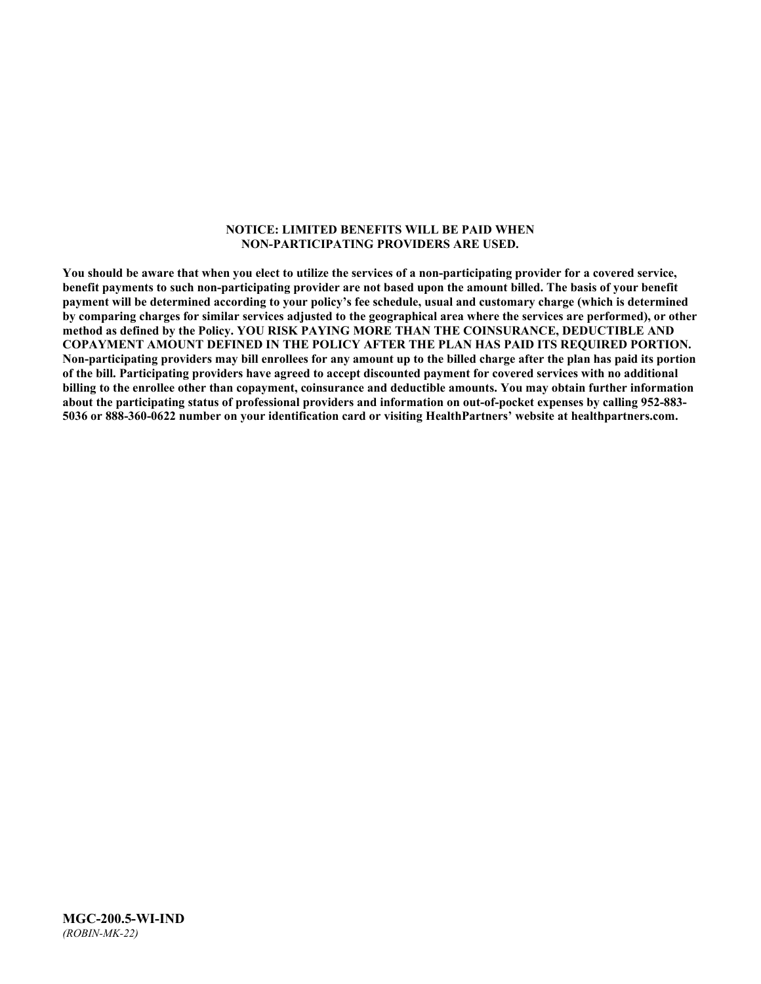#### **NOTICE: LIMITED BENEFITS WILL BE PAID WHEN NON-PARTICIPATING PROVIDERS ARE USED.**

**You should be aware that when you elect to utilize the services of a non-participating provider for a covered service, benefit payments to such non-participating provider are not based upon the amount billed. The basis of your benefit payment will be determined according to your policy's fee schedule, usual and customary charge (which is determined by comparing charges for similar services adjusted to the geographical area where the services are performed), or other method as defined by the Policy. YOU RISK PAYING MORE THAN THE COINSURANCE, DEDUCTIBLE AND COPAYMENT AMOUNT DEFINED IN THE POLICY AFTER THE PLAN HAS PAID ITS REQUIRED PORTION. Non-participating providers may bill enrollees for any amount up to the billed charge after the plan has paid its portion of the bill. Participating providers have agreed to accept discounted payment for covered services with no additional billing to the enrollee other than copayment, coinsurance and deductible amounts. You may obtain further information about the participating status of professional providers and information on out-of-pocket expenses by calling 952-883- 5036 or 888-360-0622 number on your identification card or visiting HealthPartners' website a[t healthpartners.com.](http://www.healthpartners.com/)**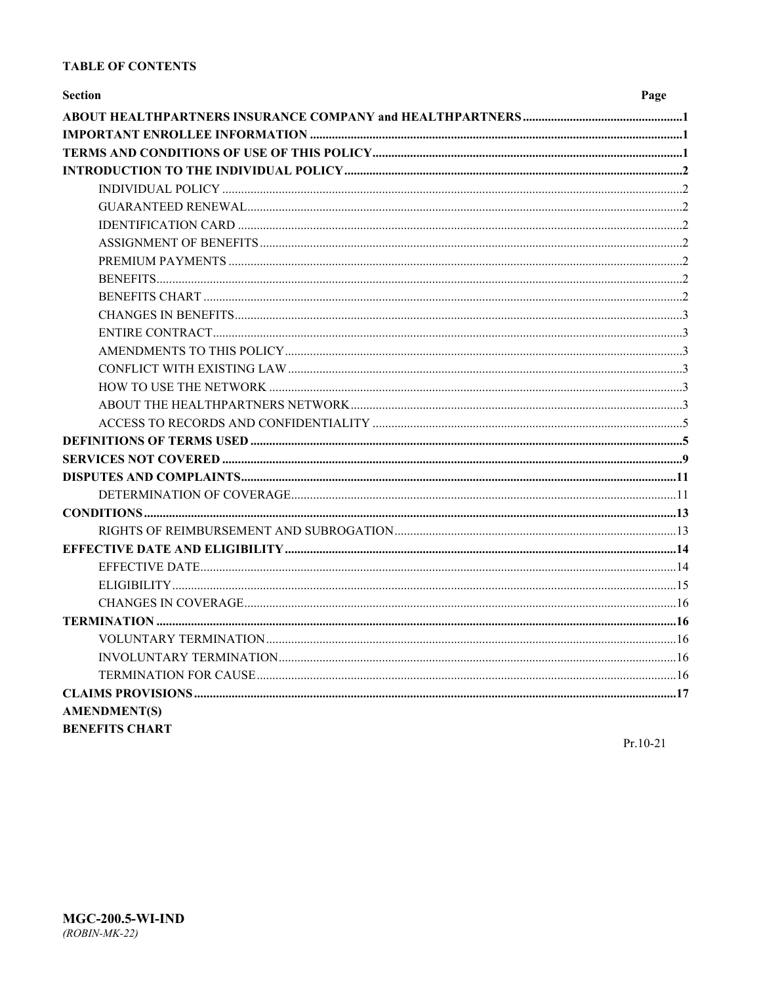### **TABLE OF CONTENTS**

| <b>Section</b>        | Page |
|-----------------------|------|
|                       |      |
|                       |      |
|                       |      |
|                       |      |
|                       |      |
|                       |      |
|                       |      |
|                       |      |
|                       |      |
|                       |      |
|                       |      |
|                       |      |
|                       |      |
|                       |      |
|                       |      |
|                       |      |
|                       |      |
|                       |      |
|                       |      |
|                       |      |
|                       |      |
|                       |      |
|                       |      |
|                       |      |
|                       |      |
|                       |      |
|                       |      |
|                       |      |
|                       |      |
|                       |      |
|                       |      |
|                       |      |
|                       |      |
| <b>AMENDMENT(S)</b>   |      |
| <b>BENEFITS CHART</b> |      |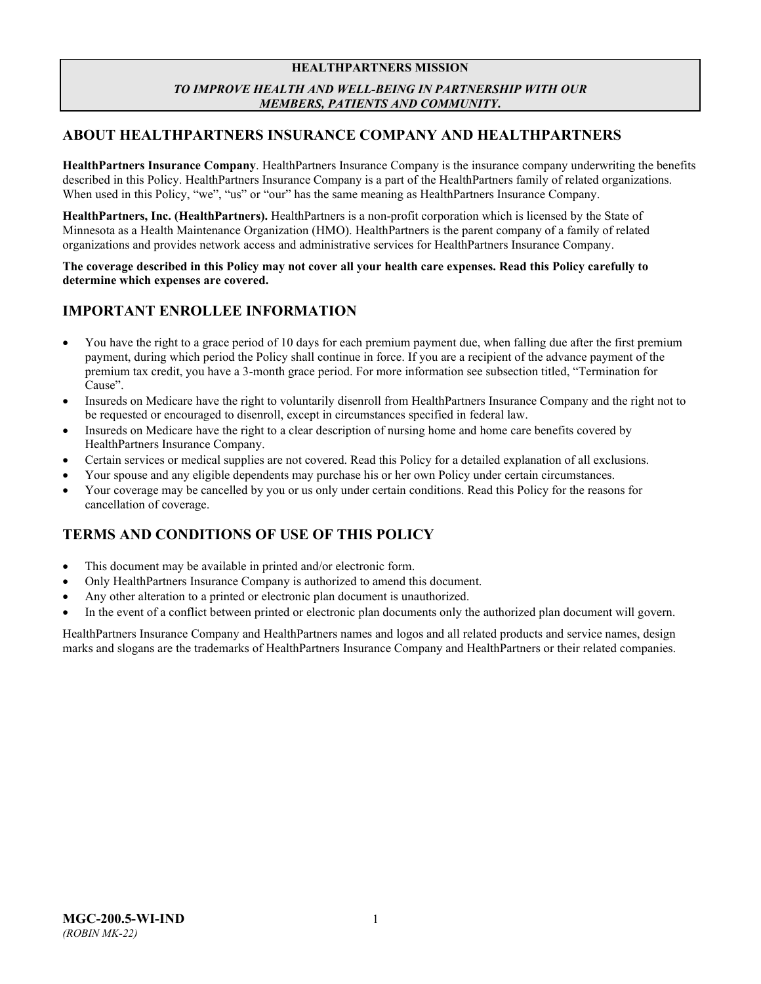### **HEALTHPARTNERS MISSION** *TO IMPROVE HEALTH AND WELL-BEING IN PARTNERSHIP WITH OUR MEMBERS, PATIENTS AND COMMUNITY***.**

### <span id="page-3-0"></span>**ABOUT HEALTHPARTNERS INSURANCE COMPANY AND HEALTHPARTNERS**

**HealthPartners Insurance Company**. HealthPartners Insurance Company is the insurance company underwriting the benefits described in this Policy. HealthPartners Insurance Company is a part of the HealthPartners family of related organizations. When used in this Policy, "we", "us" or "our" has the same meaning as HealthPartners Insurance Company.

**HealthPartners, Inc. (HealthPartners).** HealthPartners is a non-profit corporation which is licensed by the State of Minnesota as a Health Maintenance Organization (HMO). HealthPartners is the parent company of a family of related organizations and provides network access and administrative services for HealthPartners Insurance Company.

**The coverage described in this Policy may not cover all your health care expenses. Read this Policy carefully to determine which expenses are covered.**

### <span id="page-3-1"></span>**IMPORTANT ENROLLEE INFORMATION**

- You have the right to a grace period of 10 days for each premium payment due, when falling due after the first premium payment, during which period the Policy shall continue in force. If you are a recipient of the advance payment of the premium tax credit, you have a 3-month grace period. For more information see subsection titled, "Termination for Cause".
- Insureds on Medicare have the right to voluntarily disenroll from HealthPartners Insurance Company and the right not to be requested or encouraged to disenroll, except in circumstances specified in federal law.
- Insureds on Medicare have the right to a clear description of nursing home and home care benefits covered by HealthPartners Insurance Company.
- Certain services or medical supplies are not covered. Read this Policy for a detailed explanation of all exclusions.
- Your spouse and any eligible dependents may purchase his or her own Policy under certain circumstances.
- Your coverage may be cancelled by you or us only under certain conditions. Read this Policy for the reasons for cancellation of coverage.

### <span id="page-3-2"></span>**TERMS AND CONDITIONS OF USE OF THIS POLICY**

- This document may be available in printed and/or electronic form.
- Only HealthPartners Insurance Company is authorized to amend this document.
- Any other alteration to a printed or electronic plan document is unauthorized.
- In the event of a conflict between printed or electronic plan documents only the authorized plan document will govern.

HealthPartners Insurance Company and HealthPartners names and logos and all related products and service names, design marks and slogans are the trademarks of HealthPartners Insurance Company and HealthPartners or their related companies.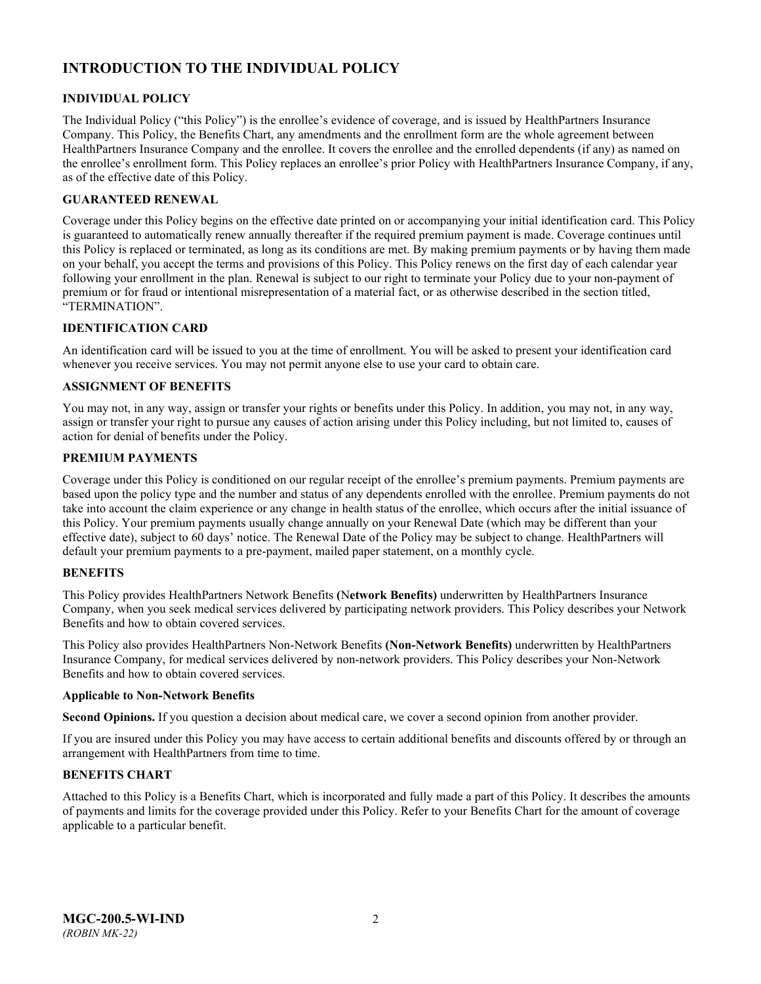## <span id="page-4-0"></span>**INTRODUCTION TO THE INDIVIDUAL POLICY**

### <span id="page-4-1"></span>**INDIVIDUAL POLICY**

The Individual Policy ("this Policy") is the enrollee's evidence of coverage, and is issued by HealthPartners Insurance Company. This Policy, the Benefits Chart, any amendments and the enrollment form are the whole agreement between HealthPartners Insurance Company and the enrollee. It covers the enrollee and the enrolled dependents (if any) as named on the enrollee's enrollment form. This Policy replaces an enrollee's prior Policy with HealthPartners Insurance Company, if any, as of the effective date of this Policy.

### <span id="page-4-2"></span>**GUARANTEED RENEWAL**

Coverage under this Policy begins on the effective date printed on or accompanying your initial identification card. This Policy is guaranteed to automatically renew annually thereafter if the required premium payment is made. Coverage continues until this Policy is replaced or terminated, as long as its conditions are met. By making premium payments or by having them made on your behalf, you accept the terms and provisions of this Policy. This Policy renews on the first day of each calendar year following your enrollment in the plan. Renewal is subject to our right to terminate your Policy due to your non-payment of premium or for fraud or intentional misrepresentation of a material fact, or as otherwise described in the section titled, "TERMINATION".

### <span id="page-4-3"></span>**IDENTIFICATION CARD**

An identification card will be issued to you at the time of enrollment. You will be asked to present your identification card whenever you receive services. You may not permit anyone else to use your card to obtain care.

### <span id="page-4-4"></span>**ASSIGNMENT OF BENEFITS**

You may not, in any way, assign or transfer your rights or benefits under this Policy. In addition, you may not, in any way, assign or transfer your right to pursue any causes of action arising under this Policy including, but not limited to, causes of action for denial of benefits under the Policy.

### <span id="page-4-5"></span>**PREMIUM PAYMENTS**

Coverage under this Policy is conditioned on our regular receipt of the enrollee's premium payments. Premium payments are based upon the policy type and the number and status of any dependents enrolled with the enrollee. Premium payments do not take into account the claim experience or any change in health status of the enrollee, which occurs after the initial issuance of this Policy. Your premium payments usually change annually on your Renewal Date (which may be different than your effective date), subject to 60 days' notice. The Renewal Date of the Policy may be subject to change. HealthPartners will default your premium payments to a pre-payment, mailed paper statement, on a monthly cycle.

### <span id="page-4-6"></span>**BENEFITS**

This Policy provides HealthPartners Network Benefits **(**N**etwork Benefits)** underwritten by HealthPartners Insurance Company, when you seek medical services delivered by participating network providers. This Policy describes your Network Benefits and how to obtain covered services.

This Policy also provides HealthPartners Non-Network Benefits **(Non-Network Benefits)** underwritten by HealthPartners Insurance Company, for medical services delivered by non-network providers. This Policy describes your Non-Network Benefits and how to obtain covered services.

#### **Applicable to Non-Network Benefits**

**Second Opinions.** If you question a decision about medical care, we cover a second opinion from another provider.

If you are insured under this Policy you may have access to certain additional benefits and discounts offered by or through an arrangement with HealthPartners from time to time.

### <span id="page-4-7"></span>**BENEFITS CHART**

Attached to this Policy is a Benefits Chart, which is incorporated and fully made a part of this Policy. It describes the amounts of payments and limits for the coverage provided under this Policy. Refer to your Benefits Chart for the amount of coverage applicable to a particular benefit.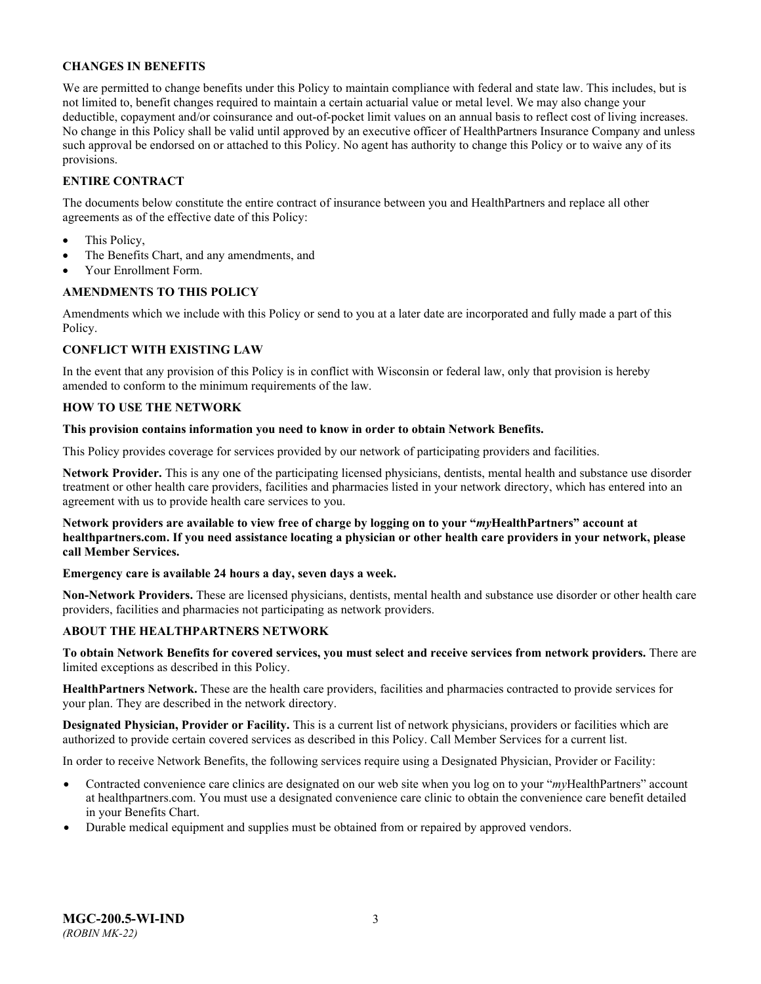### <span id="page-5-0"></span>**CHANGES IN BENEFITS**

We are permitted to change benefits under this Policy to maintain compliance with federal and state law. This includes, but is not limited to, benefit changes required to maintain a certain actuarial value or metal level. We may also change your deductible, copayment and/or coinsurance and out-of-pocket limit values on an annual basis to reflect cost of living increases. No change in this Policy shall be valid until approved by an executive officer of HealthPartners Insurance Company and unless such approval be endorsed on or attached to this Policy. No agent has authority to change this Policy or to waive any of its provisions.

### <span id="page-5-1"></span>**ENTIRE CONTRACT**

The documents below constitute the entire contract of insurance between you and HealthPartners and replace all other agreements as of the effective date of this Policy:

- This Policy,
- The Benefits Chart, and any amendments, and
- Your Enrollment Form.

### <span id="page-5-2"></span>**AMENDMENTS TO THIS POLICY**

Amendments which we include with this Policy or send to you at a later date are incorporated and fully made a part of this Policy.

### <span id="page-5-3"></span>**CONFLICT WITH EXISTING LAW**

In the event that any provision of this Policy is in conflict with Wisconsin or federal law, only that provision is hereby amended to conform to the minimum requirements of the law.

### <span id="page-5-4"></span>**HOW TO USE THE NETWORK**

### **This provision contains information you need to know in order to obtain Network Benefits.**

This Policy provides coverage for services provided by our network of participating providers and facilities.

**Network Provider.** This is any one of the participating licensed physicians, dentists, mental health and substance use disorder treatment or other health care providers, facilities and pharmacies listed in your network directory, which has entered into an agreement with us to provide health care services to you.

**Network providers are available to view free of charge by logging on to your "***my***HealthPartners" account at [healthpartners.com.](http://www.healthpartners.com/) If you need assistance locating a physician or other health care providers in your network, please call Member Services.**

### **Emergency care is available 24 hours a day, seven days a week.**

**Non-Network Providers.** These are licensed physicians, dentists, mental health and substance use disorder or other health care providers, facilities and pharmacies not participating as network providers.

### <span id="page-5-5"></span>**ABOUT THE HEALTHPARTNERS NETWORK**

**To obtain Network Benefits for covered services, you must select and receive services from network providers.** There are limited exceptions as described in this Policy.

**HealthPartners Network.** These are the health care providers, facilities and pharmacies contracted to provide services for your plan. They are described in the network directory.

**Designated Physician, Provider or Facility.** This is a current list of network physicians, providers or facilities which are authorized to provide certain covered services as described in this Policy. Call Member Services for a current list.

In order to receive Network Benefits, the following services require using a Designated Physician, Provider or Facility:

- Contracted convenience care clinics are designated on our web site when you log on to your "*myHealthPartners*" account at [healthpartners.com.](file://isntmacsrv0/contracts/C&B%20PC%20Filenames/Robin%20PC/STATE%20FILINGS/2020/WI%20IND%202020/6-14-2019%20initial%20submission/Word/MGC-200.2-WI-IND-19.docx) You must use a designated convenience care clinic to obtain the convenience care benefit detailed in your Benefits Chart.
- Durable medical equipment and supplies must be obtained from or repaired by approved vendors.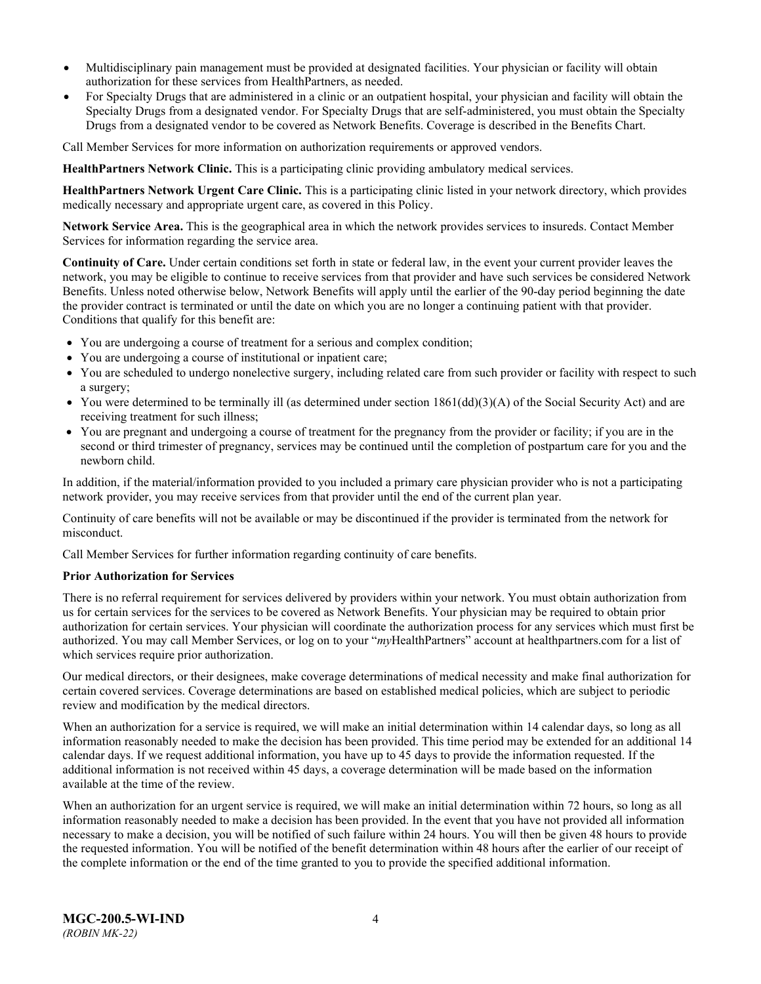- Multidisciplinary pain management must be provided at designated facilities. Your physician or facility will obtain authorization for these services from HealthPartners, as needed.
- For Specialty Drugs that are administered in a clinic or an outpatient hospital, your physician and facility will obtain the Specialty Drugs from a designated vendor. For Specialty Drugs that are self-administered, you must obtain the Specialty Drugs from a designated vendor to be covered as Network Benefits. Coverage is described in the Benefits Chart.

Call Member Services for more information on authorization requirements or approved vendors.

**HealthPartners Network Clinic.** This is a participating clinic providing ambulatory medical services.

**HealthPartners Network Urgent Care Clinic.** This is a participating clinic listed in your network directory, which provides medically necessary and appropriate urgent care, as covered in this Policy.

**Network Service Area.** This is the geographical area in which the network provides services to insureds. Contact Member Services for information regarding the service area.

**Continuity of Care.** Under certain conditions set forth in state or federal law, in the event your current provider leaves the network, you may be eligible to continue to receive services from that provider and have such services be considered Network Benefits. Unless noted otherwise below, Network Benefits will apply until the earlier of the 90-day period beginning the date the provider contract is terminated or until the date on which you are no longer a continuing patient with that provider. Conditions that qualify for this benefit are:

- You are undergoing a course of treatment for a serious and complex condition;
- You are undergoing a course of institutional or inpatient care;
- You are scheduled to undergo nonelective surgery, including related care from such provider or facility with respect to such a surgery;
- You were determined to be terminally ill (as determined under section  $1861(dd)(3)(A)$  of the Social Security Act) and are receiving treatment for such illness;
- You are pregnant and undergoing a course of treatment for the pregnancy from the provider or facility; if you are in the second or third trimester of pregnancy, services may be continued until the completion of postpartum care for you and the newborn child.

In addition, if the material/information provided to you included a primary care physician provider who is not a participating network provider, you may receive services from that provider until the end of the current plan year.

Continuity of care benefits will not be available or may be discontinued if the provider is terminated from the network for misconduct.

Call Member Services for further information regarding continuity of care benefits.

### **Prior Authorization for Services**

There is no referral requirement for services delivered by providers within your network. You must obtain authorization from us for certain services for the services to be covered as Network Benefits. Your physician may be required to obtain prior authorization for certain services. Your physician will coordinate the authorization process for any services which must first be authorized. You may call Member Services, or log on to your "*my*HealthPartners" account at [healthpartners.com](http://www.healthpartners.com/) for a list of which services require prior authorization.

Our medical directors, or their designees, make coverage determinations of medical necessity and make final authorization for certain covered services. Coverage determinations are based on established medical policies, which are subject to periodic review and modification by the medical directors.

When an authorization for a service is required, we will make an initial determination within 14 calendar days, so long as all information reasonably needed to make the decision has been provided. This time period may be extended for an additional 14 calendar days. If we request additional information, you have up to 45 days to provide the information requested. If the additional information is not received within 45 days, a coverage determination will be made based on the information available at the time of the review.

When an authorization for an urgent service is required, we will make an initial determination within 72 hours, so long as all information reasonably needed to make a decision has been provided. In the event that you have not provided all information necessary to make a decision, you will be notified of such failure within 24 hours. You will then be given 48 hours to provide the requested information. You will be notified of the benefit determination within 48 hours after the earlier of our receipt of the complete information or the end of the time granted to you to provide the specified additional information.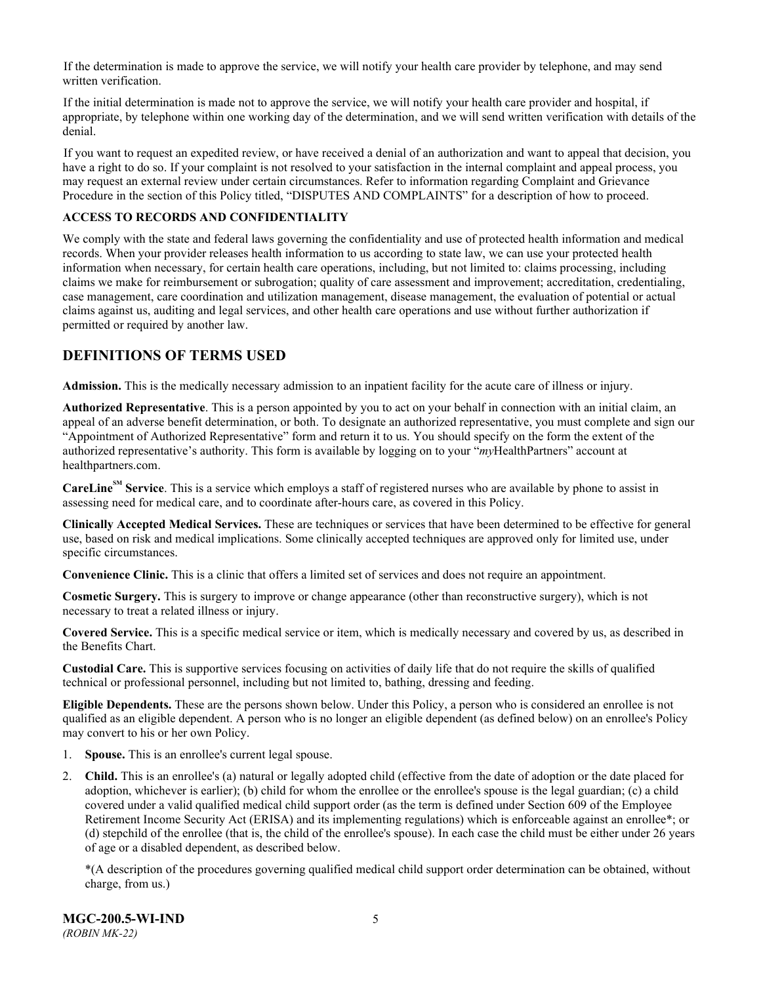If the determination is made to approve the service, we will notify your health care provider by telephone, and may send written verification.

If the initial determination is made not to approve the service, we will notify your health care provider and hospital, if appropriate, by telephone within one working day of the determination, and we will send written verification with details of the denial.

If you want to request an expedited review, or have received a denial of an authorization and want to appeal that decision, you have a right to do so. If your complaint is not resolved to your satisfaction in the internal complaint and appeal process, you may request an external review under certain circumstances. Refer to information regarding Complaint and Grievance Procedure in the section of this Policy titled, "DISPUTES AND COMPLAINTS" for a description of how to proceed.

### <span id="page-7-0"></span>**ACCESS TO RECORDS AND CONFIDENTIALITY**

We comply with the state and federal laws governing the confidentiality and use of protected health information and medical records. When your provider releases health information to us according to state law, we can use your protected health information when necessary, for certain health care operations, including, but not limited to: claims processing, including claims we make for reimbursement or subrogation; quality of care assessment and improvement; accreditation, credentialing, case management, care coordination and utilization management, disease management, the evaluation of potential or actual claims against us, auditing and legal services, and other health care operations and use without further authorization if permitted or required by another law.

### <span id="page-7-1"></span>**DEFINITIONS OF TERMS USED**

**Admission.** This is the medically necessary admission to an inpatient facility for the acute care of illness or injury.

**Authorized Representative**. This is a person appointed by you to act on your behalf in connection with an initial claim, an appeal of an adverse benefit determination, or both. To designate an authorized representative, you must complete and sign our "Appointment of Authorized Representative" form and return it to us. You should specify on the form the extent of the authorized representative's authority. This form is available by logging on to your "*my*HealthPartners" account at [healthpartners.com.](http://www.healthpartners.com/)

**CareLineSM Service**. This is a service which employs a staff of registered nurses who are available by phone to assist in assessing need for medical care, and to coordinate after-hours care, as covered in this Policy.

**Clinically Accepted Medical Services.** These are techniques or services that have been determined to be effective for general use, based on risk and medical implications. Some clinically accepted techniques are approved only for limited use, under specific circumstances.

**Convenience Clinic.** This is a clinic that offers a limited set of services and does not require an appointment.

**Cosmetic Surgery.** This is surgery to improve or change appearance (other than reconstructive surgery), which is not necessary to treat a related illness or injury.

**Covered Service.** This is a specific medical service or item, which is medically necessary and covered by us, as described in the Benefits Chart.

**Custodial Care.** This is supportive services focusing on activities of daily life that do not require the skills of qualified technical or professional personnel, including but not limited to, bathing, dressing and feeding.

**Eligible Dependents.** These are the persons shown below. Under this Policy, a person who is considered an enrollee is not qualified as an eligible dependent. A person who is no longer an eligible dependent (as defined below) on an enrollee's Policy may convert to his or her own Policy.

- 1. **Spouse.** This is an enrollee's current legal spouse.
- 2. **Child.** This is an enrollee's (a) natural or legally adopted child (effective from the date of adoption or the date placed for adoption, whichever is earlier); (b) child for whom the enrollee or the enrollee's spouse is the legal guardian; (c) a child covered under a valid qualified medical child support order (as the term is defined under Section 609 of the Employee Retirement Income Security Act (ERISA) and its implementing regulations) which is enforceable against an enrollee\*; or (d) stepchild of the enrollee (that is, the child of the enrollee's spouse). In each case the child must be either under 26 years of age or a disabled dependent, as described below.

\*(A description of the procedures governing qualified medical child support order determination can be obtained, without charge, from us.)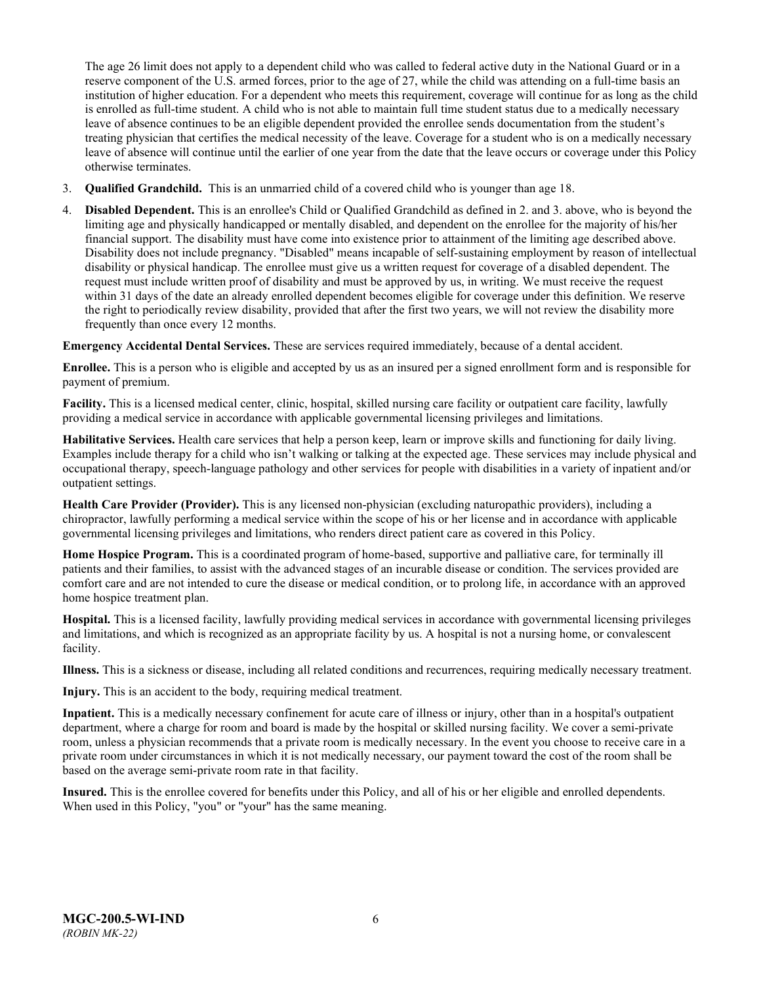The age 26 limit does not apply to a dependent child who was called to federal active duty in the National Guard or in a reserve component of the U.S. armed forces, prior to the age of 27, while the child was attending on a full-time basis an institution of higher education. For a dependent who meets this requirement, coverage will continue for as long as the child is enrolled as full-time student. A child who is not able to maintain full time student status due to a medically necessary leave of absence continues to be an eligible dependent provided the enrollee sends documentation from the student's treating physician that certifies the medical necessity of the leave. Coverage for a student who is on a medically necessary leave of absence will continue until the earlier of one year from the date that the leave occurs or coverage under this Policy otherwise terminates.

- 3. **Qualified Grandchild.** This is an unmarried child of a covered child who is younger than age 18.
- 4. **Disabled Dependent.** This is an enrollee's Child or Qualified Grandchild as defined in 2. and 3. above, who is beyond the limiting age and physically handicapped or mentally disabled, and dependent on the enrollee for the majority of his/her financial support. The disability must have come into existence prior to attainment of the limiting age described above. Disability does not include pregnancy. "Disabled" means incapable of self-sustaining employment by reason of intellectual disability or physical handicap. The enrollee must give us a written request for coverage of a disabled dependent. The request must include written proof of disability and must be approved by us, in writing. We must receive the request within 31 days of the date an already enrolled dependent becomes eligible for coverage under this definition. We reserve the right to periodically review disability, provided that after the first two years, we will not review the disability more frequently than once every 12 months.

**Emergency Accidental Dental Services.** These are services required immediately, because of a dental accident.

**Enrollee.** This is a person who is eligible and accepted by us as an insured per a signed enrollment form and is responsible for payment of premium.

**Facility.** This is a licensed medical center, clinic, hospital, skilled nursing care facility or outpatient care facility, lawfully providing a medical service in accordance with applicable governmental licensing privileges and limitations.

**Habilitative Services.** Health care services that help a person keep, learn or improve skills and functioning for daily living. Examples include therapy for a child who isn't walking or talking at the expected age. These services may include physical and occupational therapy, speech-language pathology and other services for people with disabilities in a variety of inpatient and/or outpatient settings.

**Health Care Provider (Provider).** This is any licensed non-physician (excluding naturopathic providers), including a chiropractor, lawfully performing a medical service within the scope of his or her license and in accordance with applicable governmental licensing privileges and limitations, who renders direct patient care as covered in this Policy.

**Home Hospice Program.** This is a coordinated program of home-based, supportive and palliative care, for terminally ill patients and their families, to assist with the advanced stages of an incurable disease or condition. The services provided are comfort care and are not intended to cure the disease or medical condition, or to prolong life, in accordance with an approved home hospice treatment plan.

**Hospital.** This is a licensed facility, lawfully providing medical services in accordance with governmental licensing privileges and limitations, and which is recognized as an appropriate facility by us. A hospital is not a nursing home, or convalescent facility.

**Illness.** This is a sickness or disease, including all related conditions and recurrences, requiring medically necessary treatment.

**Injury.** This is an accident to the body, requiring medical treatment.

**Inpatient.** This is a medically necessary confinement for acute care of illness or injury, other than in a hospital's outpatient department, where a charge for room and board is made by the hospital or skilled nursing facility. We cover a semi-private room, unless a physician recommends that a private room is medically necessary. In the event you choose to receive care in a private room under circumstances in which it is not medically necessary, our payment toward the cost of the room shall be based on the average semi-private room rate in that facility.

**Insured.** This is the enrollee covered for benefits under this Policy, and all of his or her eligible and enrolled dependents. When used in this Policy, "you" or "your" has the same meaning.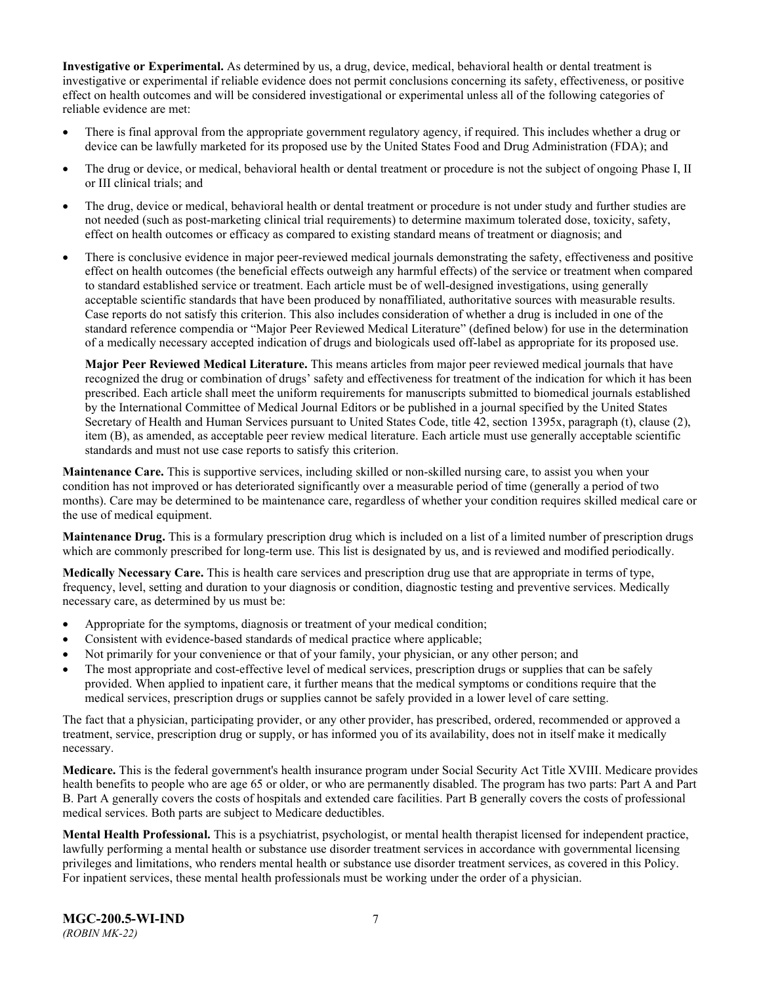**Investigative or Experimental.** As determined by us, a drug, device, medical, behavioral health or dental treatment is investigative or experimental if reliable evidence does not permit conclusions concerning its safety, effectiveness, or positive effect on health outcomes and will be considered investigational or experimental unless all of the following categories of reliable evidence are met:

- There is final approval from the appropriate government regulatory agency, if required. This includes whether a drug or device can be lawfully marketed for its proposed use by the United States Food and Drug Administration (FDA); and
- The drug or device, or medical, behavioral health or dental treatment or procedure is not the subject of ongoing Phase I, II or III clinical trials; and
- The drug, device or medical, behavioral health or dental treatment or procedure is not under study and further studies are not needed (such as post-marketing clinical trial requirements) to determine maximum tolerated dose, toxicity, safety, effect on health outcomes or efficacy as compared to existing standard means of treatment or diagnosis; and
- There is conclusive evidence in major peer-reviewed medical journals demonstrating the safety, effectiveness and positive effect on health outcomes (the beneficial effects outweigh any harmful effects) of the service or treatment when compared to standard established service or treatment. Each article must be of well-designed investigations, using generally acceptable scientific standards that have been produced by nonaffiliated, authoritative sources with measurable results. Case reports do not satisfy this criterion. This also includes consideration of whether a drug is included in one of the standard reference compendia or "Major Peer Reviewed Medical Literature" (defined below) for use in the determination of a medically necessary accepted indication of drugs and biologicals used off-label as appropriate for its proposed use.

**Major Peer Reviewed Medical Literature.** This means articles from major peer reviewed medical journals that have recognized the drug or combination of drugs' safety and effectiveness for treatment of the indication for which it has been prescribed. Each article shall meet the uniform requirements for manuscripts submitted to biomedical journals established by the International Committee of Medical Journal Editors or be published in a journal specified by the United States Secretary of Health and Human Services pursuant to United States Code, title 42, section 1395x, paragraph (t), clause (2), item (B), as amended, as acceptable peer review medical literature. Each article must use generally acceptable scientific standards and must not use case reports to satisfy this criterion.

**Maintenance Care.** This is supportive services, including skilled or non-skilled nursing care, to assist you when your condition has not improved or has deteriorated significantly over a measurable period of time (generally a period of two months). Care may be determined to be maintenance care, regardless of whether your condition requires skilled medical care or the use of medical equipment.

**Maintenance Drug.** This is a formulary prescription drug which is included on a list of a limited number of prescription drugs which are commonly prescribed for long-term use. This list is designated by us, and is reviewed and modified periodically.

**Medically Necessary Care.** This is health care services and prescription drug use that are appropriate in terms of type, frequency, level, setting and duration to your diagnosis or condition, diagnostic testing and preventive services. Medically necessary care, as determined by us must be:

- Appropriate for the symptoms, diagnosis or treatment of your medical condition;
- Consistent with evidence-based standards of medical practice where applicable;
- Not primarily for your convenience or that of your family, your physician, or any other person; and
- The most appropriate and cost-effective level of medical services, prescription drugs or supplies that can be safely provided. When applied to inpatient care, it further means that the medical symptoms or conditions require that the medical services, prescription drugs or supplies cannot be safely provided in a lower level of care setting.

The fact that a physician, participating provider, or any other provider, has prescribed, ordered, recommended or approved a treatment, service, prescription drug or supply, or has informed you of its availability, does not in itself make it medically necessary.

**Medicare.** This is the federal government's health insurance program under Social Security Act Title XVIII. Medicare provides health benefits to people who are age 65 or older, or who are permanently disabled. The program has two parts: Part A and Part B. Part A generally covers the costs of hospitals and extended care facilities. Part B generally covers the costs of professional medical services. Both parts are subject to Medicare deductibles.

**Mental Health Professional.** This is a psychiatrist, psychologist, or mental health therapist licensed for independent practice, lawfully performing a mental health or substance use disorder treatment services in accordance with governmental licensing privileges and limitations, who renders mental health or substance use disorder treatment services, as covered in this Policy. For inpatient services, these mental health professionals must be working under the order of a physician.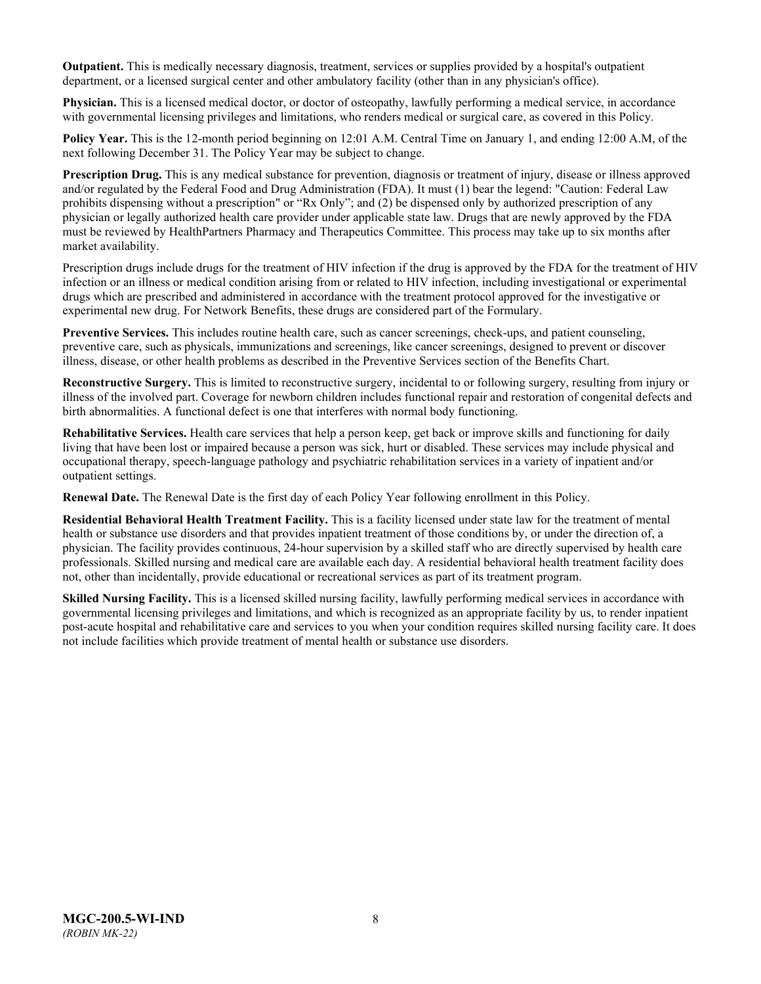**Outpatient.** This is medically necessary diagnosis, treatment, services or supplies provided by a hospital's outpatient department, or a licensed surgical center and other ambulatory facility (other than in any physician's office).

**Physician.** This is a licensed medical doctor, or doctor of osteopathy, lawfully performing a medical service, in accordance with governmental licensing privileges and limitations, who renders medical or surgical care, as covered in this Policy.

**Policy Year.** This is the 12-month period beginning on 12:01 A.M. Central Time on January 1, and ending 12:00 A.M, of the next following December 31. The Policy Year may be subject to change.

**Prescription Drug.** This is any medical substance for prevention, diagnosis or treatment of injury, disease or illness approved and/or regulated by the Federal Food and Drug Administration (FDA). It must (1) bear the legend: "Caution: Federal Law prohibits dispensing without a prescription" or "Rx Only"; and (2) be dispensed only by authorized prescription of any physician or legally authorized health care provider under applicable state law. Drugs that are newly approved by the FDA must be reviewed by HealthPartners Pharmacy and Therapeutics Committee. This process may take up to six months after market availability.

Prescription drugs include drugs for the treatment of HIV infection if the drug is approved by the FDA for the treatment of HIV infection or an illness or medical condition arising from or related to HIV infection, including investigational or experimental drugs which are prescribed and administered in accordance with the treatment protocol approved for the investigative or experimental new drug. For Network Benefits, these drugs are considered part of the Formulary.

**[Preventive Services.](http://obamacarefacts.com/obamacare-preventive-care/)** This includes routine health care, such as cancer screenings, check-ups, and patient counseling, preventive care, such as physicals, immunizations and screenings, like cancer screenings, designed to prevent or discover illness, disease, or other health problems as described in the Preventive Services section of the Benefits Chart.

**Reconstructive Surgery.** This is limited to reconstructive surgery, incidental to or following surgery, resulting from injury or illness of the involved part. Coverage for newborn children includes functional repair and restoration of congenital defects and birth abnormalities. A functional defect is one that interferes with normal body functioning.

**Rehabilitative Services.** Health care services that help a person keep, get back or improve skills and functioning for daily living that have been lost or impaired because a person was sick, hurt or disabled. These services may include physical and occupational therapy, speech-language pathology and psychiatric rehabilitation services in a variety of inpatient and/or outpatient settings.

**Renewal Date.** The Renewal Date is the first day of each Policy Year following enrollment in this Policy.

**Residential Behavioral Health Treatment Facility.** This is a facility licensed under state law for the treatment of mental health or substance use disorders and that provides inpatient treatment of those conditions by, or under the direction of, a physician. The facility provides continuous, 24-hour supervision by a skilled staff who are directly supervised by health care professionals. Skilled nursing and medical care are available each day. A residential behavioral health treatment facility does not, other than incidentally, provide educational or recreational services as part of its treatment program.

**Skilled Nursing Facility.** This is a licensed skilled nursing facility, lawfully performing medical services in accordance with governmental licensing privileges and limitations, and which is recognized as an appropriate facility by us, to render inpatient post-acute hospital and rehabilitative care and services to you when your condition requires skilled nursing facility care. It does not include facilities which provide treatment of mental health or substance use disorders.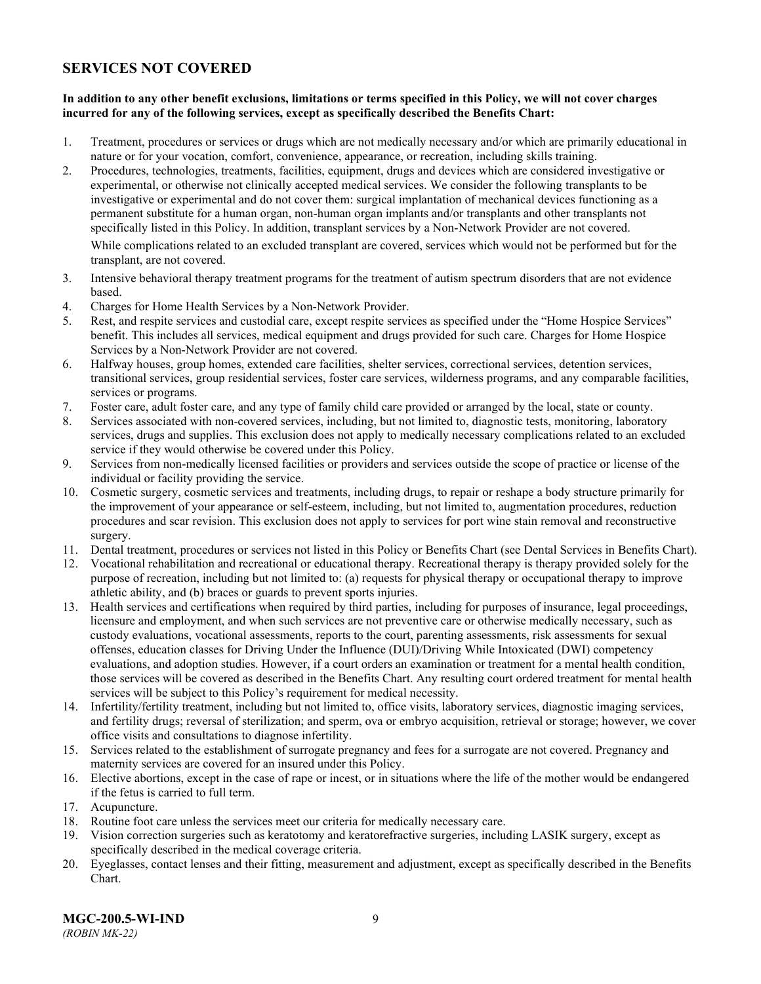### <span id="page-11-0"></span>**SERVICES NOT COVERED**

### **In addition to any other benefit exclusions, limitations or terms specified in this Policy, we will not cover charges incurred for any of the following services, except as specifically described the Benefits Chart:**

- 1. Treatment, procedures or services or drugs which are not medically necessary and/or which are primarily educational in nature or for your vocation, comfort, convenience, appearance, or recreation, including skills training.
- 2. Procedures, technologies, treatments, facilities, equipment, drugs and devices which are considered investigative or experimental, or otherwise not clinically accepted medical services. We consider the following transplants to be investigative or experimental and do not cover them: surgical implantation of mechanical devices functioning as a permanent substitute for a human organ, non-human organ implants and/or transplants and other transplants not specifically listed in this Policy. In addition, transplant services by a Non-Network Provider are not covered.

While complications related to an excluded transplant are covered, services which would not be performed but for the transplant, are not covered.

- 3. Intensive behavioral therapy treatment programs for the treatment of autism spectrum disorders that are not evidence based.
- 4. Charges for Home Health Services by a Non-Network Provider.
- 5. Rest, and respite services and custodial care, except respite services as specified under the "Home Hospice Services" benefit. This includes all services, medical equipment and drugs provided for such care. Charges for Home Hospice Services by a Non-Network Provider are not covered.
- 6. Halfway houses, group homes, extended care facilities, shelter services, correctional services, detention services, transitional services, group residential services, foster care services, wilderness programs, and any comparable facilities, services or programs.
- 7. Foster care, adult foster care, and any type of family child care provided or arranged by the local, state or county.
- 8. Services associated with non-covered services, including, but not limited to, diagnostic tests, monitoring, laboratory services, drugs and supplies. This exclusion does not apply to medically necessary complications related to an excluded service if they would otherwise be covered under this Policy.
- 9. Services from non-medically licensed facilities or providers and services outside the scope of practice or license of the individual or facility providing the service.
- 10. Cosmetic surgery, cosmetic services and treatments, including drugs, to repair or reshape a body structure primarily for the improvement of your appearance or self-esteem, including, but not limited to, augmentation procedures, reduction procedures and scar revision. This exclusion does not apply to services for port wine stain removal and reconstructive surgery.
- 11. Dental treatment, procedures or services not listed in this Policy or Benefits Chart (see Dental Services in Benefits Chart).
- 12. Vocational rehabilitation and recreational or educational therapy. Recreational therapy is therapy provided solely for the purpose of recreation, including but not limited to: (a) requests for physical therapy or occupational therapy to improve athletic ability, and (b) braces or guards to prevent sports injuries.
- 13. Health services and certifications when required by third parties, including for purposes of insurance, legal proceedings, licensure and employment, and when such services are not preventive care or otherwise medically necessary, such as custody evaluations, vocational assessments, reports to the court, parenting assessments, risk assessments for sexual offenses, education classes for Driving Under the Influence (DUI)/Driving While Intoxicated (DWI) competency evaluations, and adoption studies. However, if a court orders an examination or treatment for a mental health condition, those services will be covered as described in the Benefits Chart. Any resulting court ordered treatment for mental health services will be subject to this Policy's requirement for medical necessity.
- 14. Infertility/fertility treatment, including but not limited to, office visits, laboratory services, diagnostic imaging services, and fertility drugs; reversal of sterilization; and sperm, ova or embryo acquisition, retrieval or storage; however, we cover office visits and consultations to diagnose infertility.
- 15. Services related to the establishment of surrogate pregnancy and fees for a surrogate are not covered. Pregnancy and maternity services are covered for an insured under this Policy.
- 16. Elective abortions, except in the case of rape or incest, or in situations where the life of the mother would be endangered if the fetus is carried to full term.
- 17. Acupuncture.
- 18. Routine foot care unless the services meet our criteria for medically necessary care.
- 19. Vision correction surgeries such as keratotomy and keratorefractive surgeries, including LASIK surgery, except as specifically described in the medical coverage criteria.
- 20. Eyeglasses, contact lenses and their fitting, measurement and adjustment, except as specifically described in the Benefits Chart.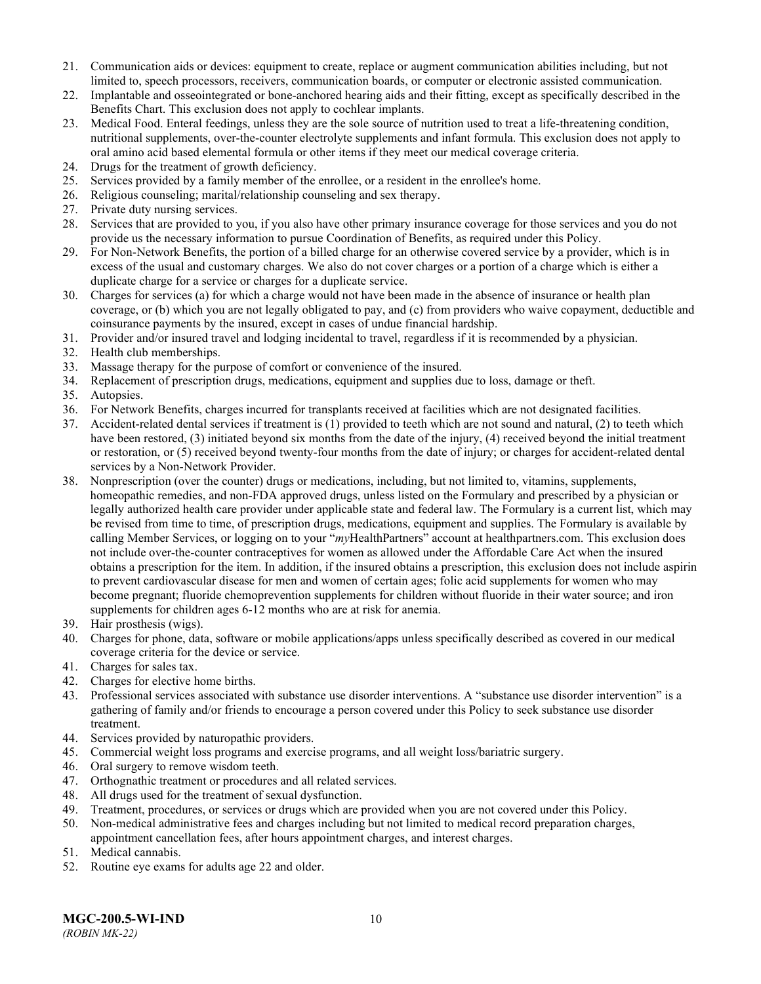- 21. Communication aids or devices: equipment to create, replace or augment communication abilities including, but not limited to, speech processors, receivers, communication boards, or computer or electronic assisted communication.
- 22. Implantable and osseointegrated or bone-anchored hearing aids and their fitting, except as specifically described in the Benefits Chart. This exclusion does not apply to cochlear implants.
- 23. Medical Food. Enteral feedings, unless they are the sole source of nutrition used to treat a life-threatening condition, nutritional supplements, over-the-counter electrolyte supplements and infant formula. This exclusion does not apply to oral amino acid based elemental formula or other items if they meet our medical coverage criteria.
- 24. Drugs for the treatment of growth deficiency.
- 25. Services provided by a family member of the enrollee, or a resident in the enrollee's home.
- 26. Religious counseling; marital/relationship counseling and sex therapy.
- 27. Private duty nursing services.
- 28. Services that are provided to you, if you also have other primary insurance coverage for those services and you do not provide us the necessary information to pursue Coordination of Benefits, as required under this Policy.
- 29. For Non-Network Benefits, the portion of a billed charge for an otherwise covered service by a provider, which is in excess of the usual and customary charges. We also do not cover charges or a portion of a charge which is either a duplicate charge for a service or charges for a duplicate service.
- 30. Charges for services (a) for which a charge would not have been made in the absence of insurance or health plan coverage, or (b) which you are not legally obligated to pay, and (c) from providers who waive copayment, deductible and coinsurance payments by the insured, except in cases of undue financial hardship.
- 31. Provider and/or insured travel and lodging incidental to travel, regardless if it is recommended by a physician.
- 32. Health club memberships.
- 33. Massage therapy for the purpose of comfort or convenience of the insured.
- 34. Replacement of prescription drugs, medications, equipment and supplies due to loss, damage or theft.
- 35. Autopsies.
- 36. For Network Benefits, charges incurred for transplants received at facilities which are not designated facilities.
- 37. Accident-related dental services if treatment is (1) provided to teeth which are not sound and natural, (2) to teeth which have been restored, (3) initiated beyond six months from the date of the injury, (4) received beyond the initial treatment or restoration, or (5) received beyond twenty-four months from the date of injury; or charges for accident-related dental services by a Non-Network Provider.
- 38. Nonprescription (over the counter) drugs or medications, including, but not limited to, vitamins, supplements, homeopathic remedies, and non-FDA approved drugs, unless listed on the Formulary and prescribed by a physician or legally authorized health care provider under applicable state and federal law. The Formulary is a current list, which may be revised from time to time, of prescription drugs, medications, equipment and supplies. The Formulary is available by calling Member Services, or logging on to your "*my*HealthPartners" account at [healthpartners.com.](http://www.healthpartners.com/) This exclusion does not include over-the-counter contraceptives for women as allowed under the Affordable Care Act when the insured obtains a prescription for the item. In addition, if the insured obtains a prescription, this exclusion does not include aspirin to prevent cardiovascular disease for men and women of certain ages; folic acid supplements for women who may become pregnant; fluoride chemoprevention supplements for children without fluoride in their water source; and iron supplements for children ages 6-12 months who are at risk for anemia.
- 39. Hair prosthesis (wigs).
- 40. Charges for phone, data, software or mobile applications/apps unless specifically described as covered in our medical coverage criteria for the device or service.
- 41. Charges for sales tax.
- 42. Charges for elective home births.
- 43. Professional services associated with substance use disorder interventions. A "substance use disorder intervention" is a gathering of family and/or friends to encourage a person covered under this Policy to seek substance use disorder treatment.
- 44. Services provided by naturopathic providers.
- 45. Commercial weight loss programs and exercise programs, and all weight loss/bariatric surgery.
- 46. Oral surgery to remove wisdom teeth.
- 47. Orthognathic treatment or procedures and all related services.
- 48. All drugs used for the treatment of sexual dysfunction.
- 49. Treatment, procedures, or services or drugs which are provided when you are not covered under this Policy.
- 50. Non-medical administrative fees and charges including but not limited to medical record preparation charges, appointment cancellation fees, after hours appointment charges, and interest charges.
- 51. Medical cannabis.
- 52. Routine eye exams for adults age 22 and older.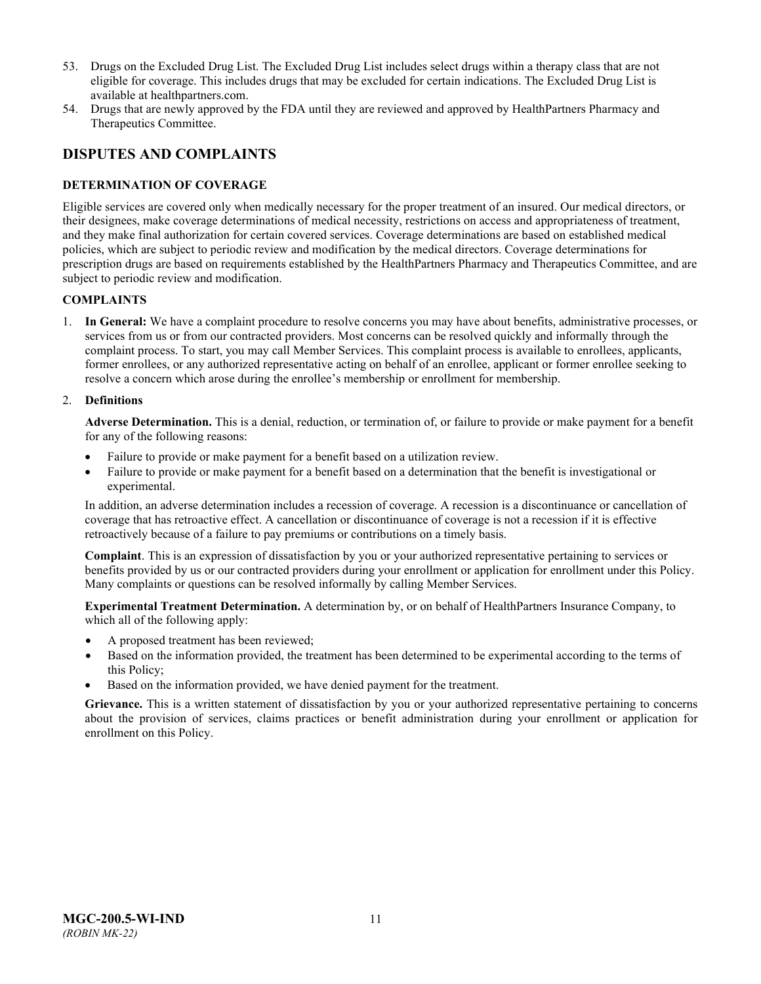- 53. Drugs on the Excluded Drug List. The Excluded Drug List includes select drugs within a therapy class that are not eligible for coverage. This includes drugs that may be excluded for certain indications. The Excluded Drug List is available at healthpartners.com.
- 54. Drugs that are newly approved by the FDA until they are reviewed and approved by HealthPartners Pharmacy and Therapeutics Committee.

### <span id="page-13-0"></span>**DISPUTES AND COMPLAINTS**

### <span id="page-13-1"></span>**DETERMINATION OF COVERAGE**

Eligible services are covered only when medically necessary for the proper treatment of an insured. Our medical directors, or their designees, make coverage determinations of medical necessity, restrictions on access and appropriateness of treatment, and they make final authorization for certain covered services. Coverage determinations are based on established medical policies, which are subject to periodic review and modification by the medical directors. Coverage determinations for prescription drugs are based on requirements established by the HealthPartners Pharmacy and Therapeutics Committee, and are subject to periodic review and modification.

### **COMPLAINTS**

1. **In General:** We have a complaint procedure to resolve concerns you may have about benefits, administrative processes, or services from us or from our contracted providers. Most concerns can be resolved quickly and informally through the complaint process. To start, you may call Member Services. This complaint process is available to enrollees, applicants, former enrollees, or any authorized representative acting on behalf of an enrollee, applicant or former enrollee seeking to resolve a concern which arose during the enrollee's membership or enrollment for membership.

### 2. **Definitions**

**Adverse Determination.** This is a denial, reduction, or termination of, or failure to provide or make payment for a benefit for any of the following reasons:

- Failure to provide or make payment for a benefit based on a utilization review.
- Failure to provide or make payment for a benefit based on a determination that the benefit is investigational or experimental.

In addition, an adverse determination includes a recession of coverage. A recession is a discontinuance or cancellation of coverage that has retroactive effect. A cancellation or discontinuance of coverage is not a recession if it is effective retroactively because of a failure to pay premiums or contributions on a timely basis.

**Complaint**. This is an expression of dissatisfaction by you or your authorized representative pertaining to services or benefits provided by us or our contracted providers during your enrollment or application for enrollment under this Policy. Many complaints or questions can be resolved informally by calling Member Services.

**Experimental Treatment Determination.** A determination by, or on behalf of HealthPartners Insurance Company, to which all of the following apply:

- A proposed treatment has been reviewed;
- Based on the information provided, the treatment has been determined to be experimental according to the terms of this Policy;
- Based on the information provided, we have denied payment for the treatment.

**Grievance.** This is a written statement of dissatisfaction by you or your authorized representative pertaining to concerns about the provision of services, claims practices or benefit administration during your enrollment or application for enrollment on this Policy.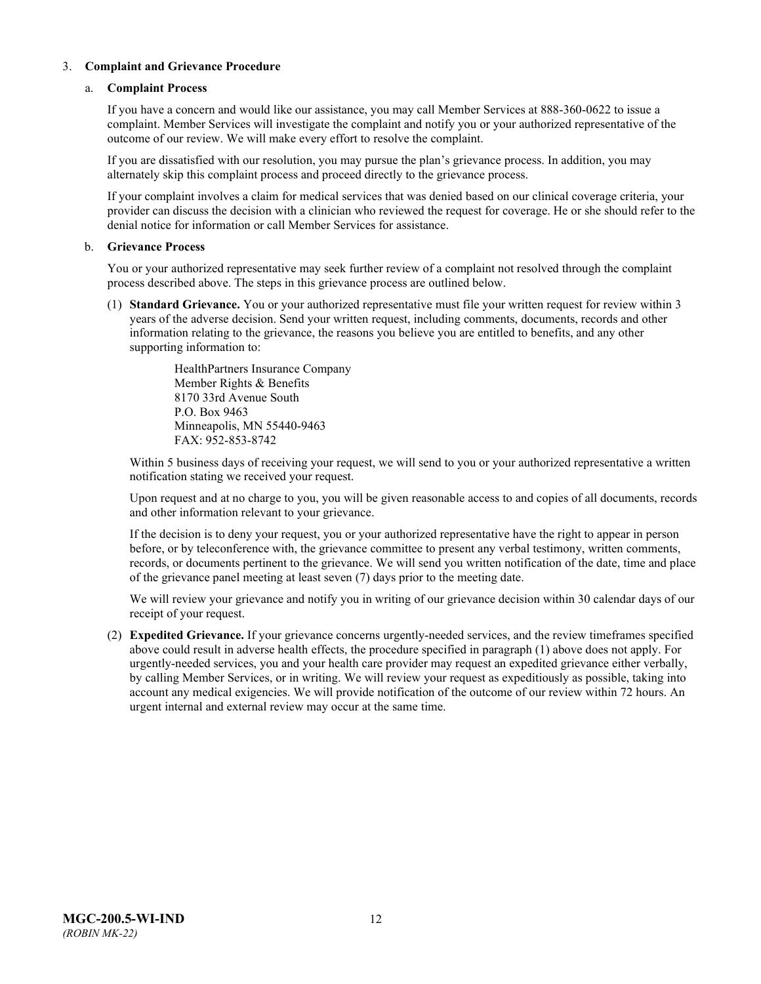### 3. **Complaint and Grievance Procedure**

### a. **Complaint Process**

If you have a concern and would like our assistance, you may call Member Services at 888-360-0622 to issue a complaint. Member Services will investigate the complaint and notify you or your authorized representative of the outcome of our review. We will make every effort to resolve the complaint.

If you are dissatisfied with our resolution, you may pursue the plan's grievance process. In addition, you may alternately skip this complaint process and proceed directly to the grievance process.

If your complaint involves a claim for medical services that was denied based on our clinical coverage criteria, your provider can discuss the decision with a clinician who reviewed the request for coverage. He or she should refer to the denial notice for information or call Member Services for assistance.

### b. **Grievance Process**

You or your authorized representative may seek further review of a complaint not resolved through the complaint process described above. The steps in this grievance process are outlined below.

(1) **Standard Grievance.** You or your authorized representative must file your written request for review within 3 years of the adverse decision. Send your written request, including comments, documents, records and other information relating to the grievance, the reasons you believe you are entitled to benefits, and any other supporting information to:

> HealthPartners Insurance Company Member Rights & Benefits 8170 33rd Avenue South P.O. Box 9463 Minneapolis, MN 55440-9463 FAX: 952-853-8742

Within 5 business days of receiving your request, we will send to you or your authorized representative a written notification stating we received your request.

Upon request and at no charge to you, you will be given reasonable access to and copies of all documents, records and other information relevant to your grievance.

If the decision is to deny your request, you or your authorized representative have the right to appear in person before, or by teleconference with, the grievance committee to present any verbal testimony, written comments, records, or documents pertinent to the grievance. We will send you written notification of the date, time and place of the grievance panel meeting at least seven (7) days prior to the meeting date.

We will review your grievance and notify you in writing of our grievance decision within 30 calendar days of our receipt of your request.

(2) **Expedited Grievance.** If your grievance concerns urgently-needed services, and the review timeframes specified above could result in adverse health effects, the procedure specified in paragraph (1) above does not apply. For urgently-needed services, you and your health care provider may request an expedited grievance either verbally, by calling Member Services, or in writing. We will review your request as expeditiously as possible, taking into account any medical exigencies. We will provide notification of the outcome of our review within 72 hours. An urgent internal and external review may occur at the same time.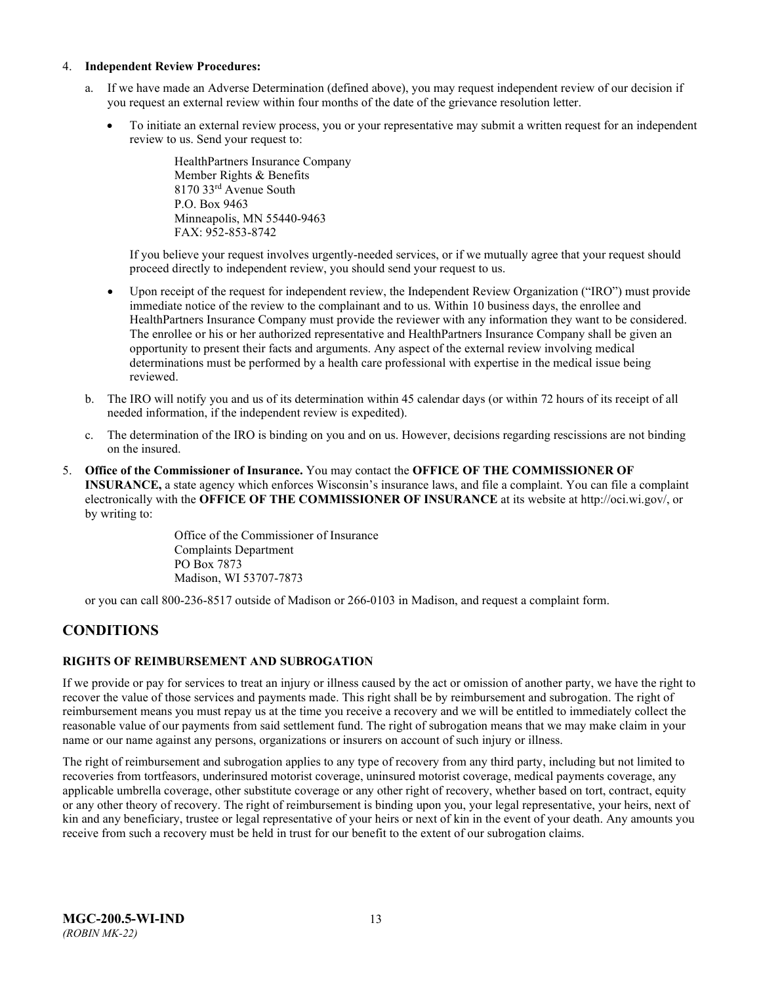#### 4. **Independent Review Procedures:**

- a. If we have made an Adverse Determination (defined above), you may request independent review of our decision if you request an external review within four months of the date of the grievance resolution letter.
	- To initiate an external review process, you or your representative may submit a written request for an independent review to us. Send your request to:

HealthPartners Insurance Company Member Rights & Benefits 8170 33rd Avenue South P.O. Box 9463 Minneapolis, MN 55440-9463 FAX: 952-853-8742

If you believe your request involves urgently-needed services, or if we mutually agree that your request should proceed directly to independent review, you should send your request to us.

- Upon receipt of the request for independent review, the Independent Review Organization ("IRO") must provide immediate notice of the review to the complainant and to us. Within 10 business days, the enrollee and HealthPartners Insurance Company must provide the reviewer with any information they want to be considered. The enrollee or his or her authorized representative and HealthPartners Insurance Company shall be given an opportunity to present their facts and arguments. Any aspect of the external review involving medical determinations must be performed by a health care professional with expertise in the medical issue being reviewed.
- b. The IRO will notify you and us of its determination within 45 calendar days (or within 72 hours of its receipt of all needed information, if the independent review is expedited).
- c. The determination of the IRO is binding on you and on us. However, decisions regarding rescissions are not binding on the insured.
- 5. **Office of the Commissioner of Insurance.** You may contact the **OFFICE OF THE COMMISSIONER OF INSURANCE,** a state agency which enforces Wisconsin's insurance laws, and file a complaint. You can file a complaint electronically with the **OFFICE OF THE COMMISSIONER OF INSURANCE** at its website at http://oci.wi.gov/, or by writing to:

Office of the Commissioner of Insurance Complaints Department PO Box 7873 Madison, WI 53707-7873

or you can call 800-236-8517 outside of Madison or 266-0103 in Madison, and request a complaint form.

### <span id="page-15-0"></span>**CONDITIONS**

### <span id="page-15-1"></span>**RIGHTS OF REIMBURSEMENT AND SUBROGATION**

If we provide or pay for services to treat an injury or illness caused by the act or omission of another party, we have the right to recover the value of those services and payments made. This right shall be by reimbursement and subrogation. The right of reimbursement means you must repay us at the time you receive a recovery and we will be entitled to immediately collect the reasonable value of our payments from said settlement fund. The right of subrogation means that we may make claim in your name or our name against any persons, organizations or insurers on account of such injury or illness.

The right of reimbursement and subrogation applies to any type of recovery from any third party, including but not limited to recoveries from tortfeasors, underinsured motorist coverage, uninsured motorist coverage, medical payments coverage, any applicable umbrella coverage, other substitute coverage or any other right of recovery, whether based on tort, contract, equity or any other theory of recovery. The right of reimbursement is binding upon you, your legal representative, your heirs, next of kin and any beneficiary, trustee or legal representative of your heirs or next of kin in the event of your death. Any amounts you receive from such a recovery must be held in trust for our benefit to the extent of our subrogation claims.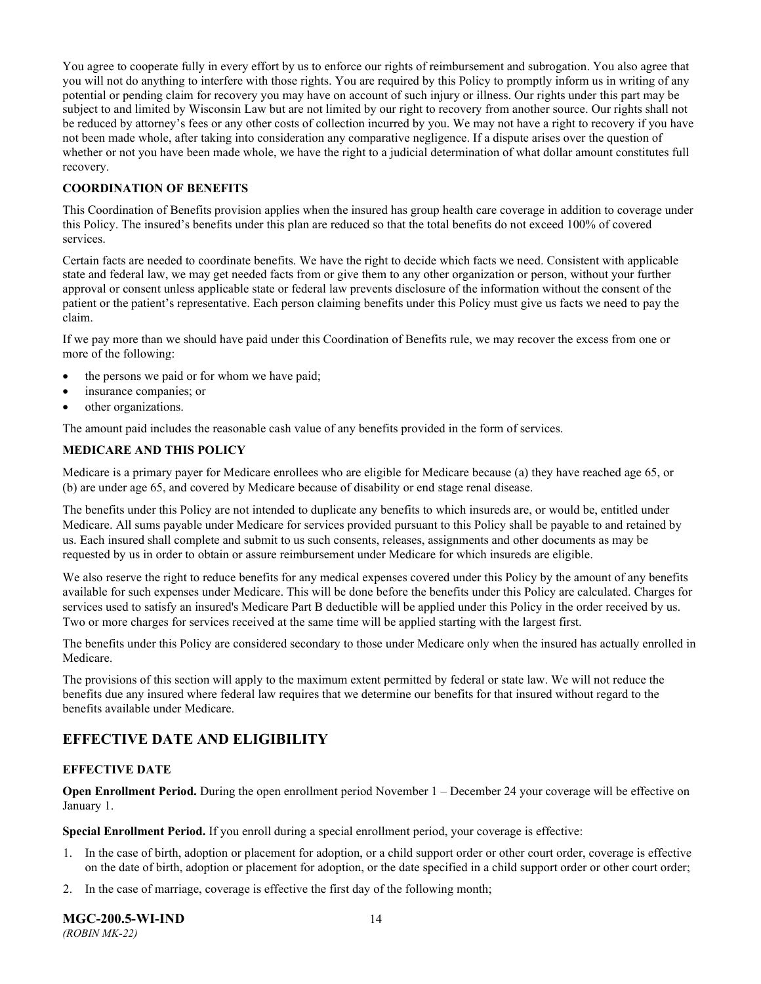You agree to cooperate fully in every effort by us to enforce our rights of reimbursement and subrogation. You also agree that you will not do anything to interfere with those rights. You are required by this Policy to promptly inform us in writing of any potential or pending claim for recovery you may have on account of such injury or illness. Our rights under this part may be subject to and limited by Wisconsin Law but are not limited by our right to recovery from another source. Our rights shall not be reduced by attorney's fees or any other costs of collection incurred by you. We may not have a right to recovery if you have not been made whole, after taking into consideration any comparative negligence. If a dispute arises over the question of whether or not you have been made whole, we have the right to a judicial determination of what dollar amount constitutes full recovery.

### **COORDINATION OF BENEFITS**

This Coordination of Benefits provision applies when the insured has group health care coverage in addition to coverage under this Policy. The insured's benefits under this plan are reduced so that the total benefits do not exceed 100% of covered services.

Certain facts are needed to coordinate benefits. We have the right to decide which facts we need. Consistent with applicable state and federal law, we may get needed facts from or give them to any other organization or person, without your further approval or consent unless applicable state or federal law prevents disclosure of the information without the consent of the patient or the patient's representative. Each person claiming benefits under this Policy must give us facts we need to pay the claim.

If we pay more than we should have paid under this Coordination of Benefits rule, we may recover the excess from one or more of the following:

- the persons we paid or for whom we have paid;
- insurance companies; or
- other organizations.

The amount paid includes the reasonable cash value of any benefits provided in the form of services.

### **MEDICARE AND THIS POLICY**

Medicare is a primary payer for Medicare enrollees who are eligible for Medicare because (a) they have reached age 65, or (b) are under age 65, and covered by Medicare because of disability or end stage renal disease.

The benefits under this Policy are not intended to duplicate any benefits to which insureds are, or would be, entitled under Medicare. All sums payable under Medicare for services provided pursuant to this Policy shall be payable to and retained by us. Each insured shall complete and submit to us such consents, releases, assignments and other documents as may be requested by us in order to obtain or assure reimbursement under Medicare for which insureds are eligible.

We also reserve the right to reduce benefits for any medical expenses covered under this Policy by the amount of any benefits available for such expenses under Medicare. This will be done before the benefits under this Policy are calculated. Charges for services used to satisfy an insured's Medicare Part B deductible will be applied under this Policy in the order received by us. Two or more charges for services received at the same time will be applied starting with the largest first.

The benefits under this Policy are considered secondary to those under Medicare only when the insured has actually enrolled in Medicare.

The provisions of this section will apply to the maximum extent permitted by federal or state law. We will not reduce the benefits due any insured where federal law requires that we determine our benefits for that insured without regard to the benefits available under Medicare.

### <span id="page-16-0"></span>**EFFECTIVE DATE AND ELIGIBILITY**

### <span id="page-16-1"></span>**EFFECTIVE DATE**

**Open Enrollment Period.** During the open enrollment period November 1 – December 24 your coverage will be effective on January 1.

**Special Enrollment Period.** If you enroll during a special enrollment period, your coverage is effective:

- 1. In the case of birth, adoption or placement for adoption, or a child support order or other court order, coverage is effective on the date of birth, adoption or placement for adoption, or the date specified in a child support order or other court order;
- 2. In the case of marriage, coverage is effective the first day of the following month;

**MGC-200.5-WI-IND** 14 *(ROBIN MK-22)*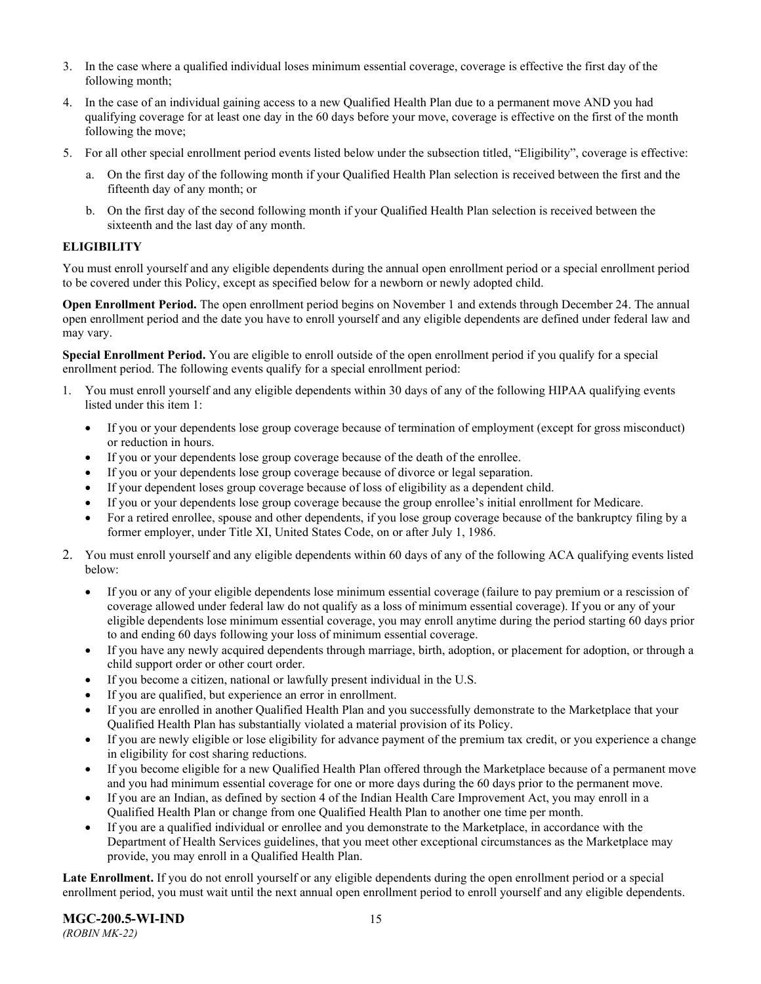- 3. In the case where a qualified individual loses minimum essential coverage, coverage is effective the first day of the following month;
- 4. In the case of an individual gaining access to a new Qualified Health Plan due to a permanent move AND you had qualifying coverage for at least one day in the 60 days before your move, coverage is effective on the first of the month following the move;
- 5. For all other special enrollment period events listed below under the subsection titled, "Eligibility", coverage is effective:
	- a. On the first day of the following month if your Qualified Health Plan selection is received between the first and the fifteenth day of any month; or
	- b. On the first day of the second following month if your Qualified Health Plan selection is received between the sixteenth and the last day of any month.

### <span id="page-17-0"></span>**ELIGIBILITY**

You must enroll yourself and any eligible dependents during the annual open enrollment period or a special enrollment period to be covered under this Policy, except as specified below for a newborn or newly adopted child.

**Open Enrollment Period.** The open enrollment period begins on November 1 and extends through December 24. The annual open enrollment period and the date you have to enroll yourself and any eligible dependents are defined under federal law and may vary.

**Special Enrollment Period.** You are eligible to enroll outside of the open enrollment period if you qualify for a special enrollment period. The following events qualify for a special enrollment period:

- 1. You must enroll yourself and any eligible dependents within 30 days of any of the following HIPAA qualifying events listed under this item 1:
	- If you or your dependents lose group coverage because of termination of employment (except for gross misconduct) or reduction in hours.
	- If you or your dependents lose group coverage because of the death of the enrollee.
	- If you or your dependents lose group coverage because of divorce or legal separation.
	- If your dependent loses group coverage because of loss of eligibility as a dependent child.
	- If you or your dependents lose group coverage because the group enrollee's initial enrollment for Medicare.
	- For a retired enrollee, spouse and other dependents, if you lose group coverage because of the bankruptcy filing by a former employer, under Title XI, United States Code, on or after July 1, 1986.
- 2. You must enroll yourself and any eligible dependents within 60 days of any of the following ACA qualifying events listed below:
	- If you or any of your eligible dependents lose minimum essential coverage (failure to pay premium or a rescission of coverage allowed under federal law do not qualify as a loss of minimum essential coverage). If you or any of your eligible dependents lose minimum essential coverage, you may enroll anytime during the period starting 60 days prior to and ending 60 days following your loss of minimum essential coverage.
	- If you have any newly acquired dependents through marriage, birth, adoption, or placement for adoption, or through a child support order or other court order.
	- If you become a citizen, national or lawfully present individual in the U.S.
	- If you are qualified, but experience an error in enrollment.
	- If you are enrolled in another Qualified Health Plan and you successfully demonstrate to the Marketplace that your Qualified Health Plan has substantially violated a material provision of its Policy.
	- If you are newly eligible or lose eligibility for advance payment of the premium tax credit, or you experience a change in eligibility for cost sharing reductions.
	- If you become eligible for a new Qualified Health Plan offered through the Marketplace because of a permanent move and you had minimum essential coverage for one or more days during the 60 days prior to the permanent move.
	- If you are an Indian, as defined by section 4 of the Indian Health Care Improvement Act, you may enroll in a Qualified Health Plan or change from one Qualified Health Plan to another one time per month.
	- If you are a qualified individual or enrollee and you demonstrate to the Marketplace, in accordance with the Department of Health Services guidelines, that you meet other exceptional circumstances as the Marketplace may provide, you may enroll in a Qualified Health Plan.

**Late Enrollment.** If you do not enroll yourself or any eligible dependents during the open enrollment period or a special enrollment period, you must wait until the next annual open enrollment period to enroll yourself and any eligible dependents.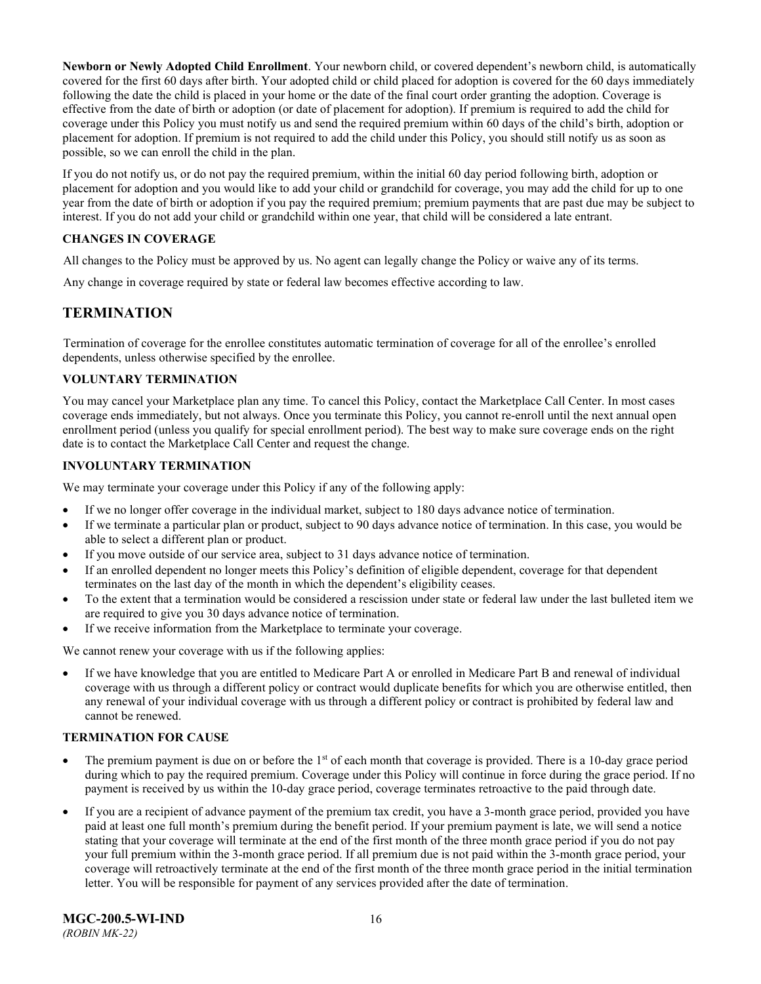**Newborn or Newly Adopted Child Enrollment**. Your newborn child, or covered dependent's newborn child, is automatically covered for the first 60 days after birth. Your adopted child or child placed for adoption is covered for the 60 days immediately following the date the child is placed in your home or the date of the final court order granting the adoption. Coverage is effective from the date of birth or adoption (or date of placement for adoption). If premium is required to add the child for coverage under this Policy you must notify us and send the required premium within 60 days of the child's birth, adoption or placement for adoption. If premium is not required to add the child under this Policy, you should still notify us as soon as possible, so we can enroll the child in the plan.

If you do not notify us, or do not pay the required premium, within the initial 60 day period following birth, adoption or placement for adoption and you would like to add your child or grandchild for coverage, you may add the child for up to one year from the date of birth or adoption if you pay the required premium; premium payments that are past due may be subject to interest. If you do not add your child or grandchild within one year, that child will be considered a late entrant.

### <span id="page-18-0"></span>**CHANGES IN COVERAGE**

All changes to the Policy must be approved by us. No agent can legally change the Policy or waive any of its terms.

<span id="page-18-1"></span>Any change in coverage required by state or federal law becomes effective according to law.

### **TERMINATION**

Termination of coverage for the enrollee constitutes automatic termination of coverage for all of the enrollee's enrolled dependents, unless otherwise specified by the enrollee.

### <span id="page-18-2"></span>**VOLUNTARY TERMINATION**

You may cancel your Marketplace plan any time. To cancel this Policy, contact the Marketplace Call Center. In most cases coverage ends immediately, but not always. Once you terminate this Policy, you cannot re-enroll until the next annual open enrollment period (unless you qualify for special enrollment period). The best way to make sure coverage ends on the right date is to contact the Marketplace Call Center and request the change.

### <span id="page-18-3"></span>**INVOLUNTARY TERMINATION**

We may terminate your coverage under this Policy if any of the following apply:

- If we no longer offer coverage in the individual market, subject to 180 days advance notice of termination.
- If we terminate a particular plan or product, subject to 90 days advance notice of termination. In this case, you would be able to select a different plan or product.
- If you move outside of our service area, subject to 31 days advance notice of termination.
- If an enrolled dependent no longer meets this Policy's definition of eligible dependent, coverage for that dependent terminates on the last day of the month in which the dependent's eligibility ceases.
- To the extent that a termination would be considered a rescission under state or federal law under the last bulleted item we are required to give you 30 days advance notice of termination.
- If we receive information from the Marketplace to terminate your coverage.

We cannot renew your coverage with us if the following applies:

• If we have knowledge that you are entitled to Medicare Part A or enrolled in Medicare Part B and renewal of individual coverage with us through a different policy or contract would duplicate benefits for which you are otherwise entitled, then any renewal of your individual coverage with us through a different policy or contract is prohibited by federal law and cannot be renewed.

### <span id="page-18-4"></span>**TERMINATION FOR CAUSE**

- The premium payment is due on or before the  $1<sup>st</sup>$  of each month that coverage is provided. There is a 10-day grace period during which to pay the required premium. Coverage under this Policy will continue in force during the grace period. If no payment is received by us within the 10-day grace period, coverage terminates retroactive to the paid through date.
- If you are a recipient of advance payment of the premium tax credit, you have a 3-month grace period, provided you have paid at least one full month's premium during the benefit period. If your premium payment is late, we will send a notice stating that your coverage will terminate at the end of the first month of the three month grace period if you do not pay your full premium within the 3-month grace period. If all premium due is not paid within the 3-month grace period, your coverage will retroactively terminate at the end of the first month of the three month grace period in the initial termination letter. You will be responsible for payment of any services provided after the date of termination.